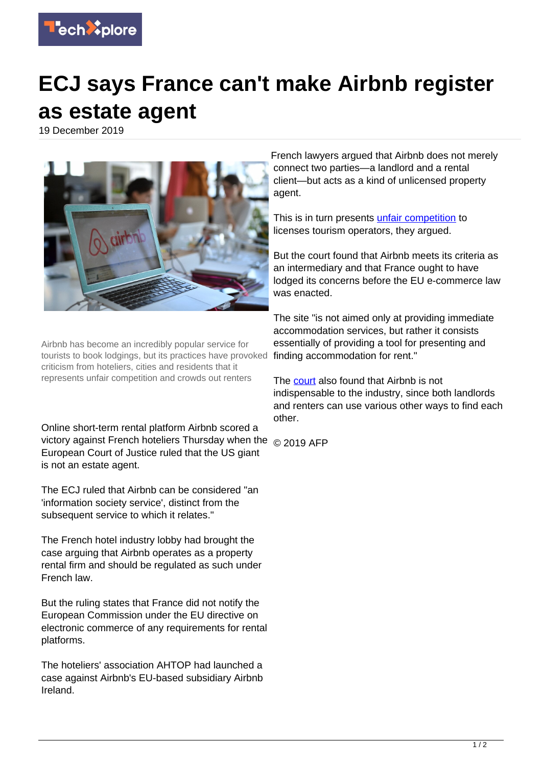

## **ECJ says France can't make Airbnb register as estate agent**

19 December 2019



Airbnb has become an incredibly popular service for tourists to book lodgings, but its practices have provoked criticism from hoteliers, cities and residents that it represents unfair competition and crowds out renters

Online short-term rental platform Airbnb scored a victory against French hoteliers Thursday when the  $\, \circledcirc$  2019 AFP European Court of Justice ruled that the US giant is not an estate agent.

The ECJ ruled that Airbnb can be considered "an 'information society service', distinct from the subsequent service to which it relates."

The French hotel industry lobby had brought the case arguing that Airbnb operates as a property rental firm and should be regulated as such under French law.

But the ruling states that France did not notify the European Commission under the EU directive on electronic commerce of any requirements for rental platforms.

The hoteliers' association AHTOP had launched a case against Airbnb's EU-based subsidiary Airbnb Ireland.

French lawyers argued that Airbnb does not merely connect two parties—a landlord and a rental client—but acts as a kind of unlicensed property agent.

This is in turn presents [unfair competition](https://techxplore.com/tags/unfair+competition/) to licenses tourism operators, they argued.

But the court found that Airbnb meets its criteria as an intermediary and that France ought to have lodged its concerns before the EU e-commerce law was enacted.

The site "is not aimed only at providing immediate accommodation services, but rather it consists essentially of providing a tool for presenting and finding accommodation for rent."

The [court](https://techxplore.com/tags/court/) also found that Airbnb is not indispensable to the industry, since both landlords and renters can use various other ways to find each other.